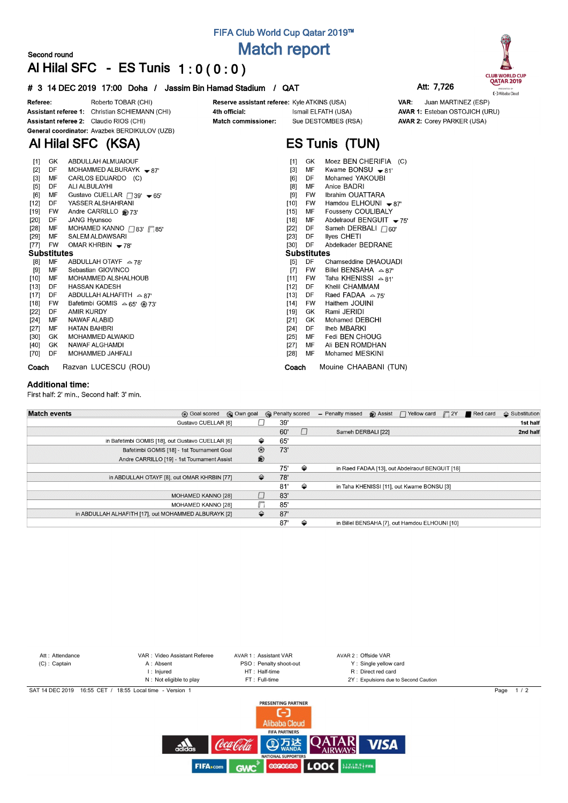## **FIFA Club World Cup Qatar 2019™ Match report**

### **Second round Al Hilal SFC - ES Tunis 1 : 0 ( 0 : 0 )**

#### **# 3 14 DEC 2019 17:00 Doha / Jassim Bin Hamad Stadium / QAT Att: 7,726**



AVAR 1: Esteban OSTOJICH (URU)

**AVAR 2: Corey PARKER (USA)** 

VAR:



Roberto TOBAR (CHI) Referee: Assistant referee 1: Christian SCHIEMANN (CHI) Assistant referee 2: Claudio RIOS (CHI) General coordinator: Avazbek BERDIKULOV (UZB)

**Al Hilal SFC (KSA)**

Reserve assistant referee: Kyle ATKINS (USA) Ismail ELFATH (USA) Sue DESTOMBES (RSA) Match commissioner:

## **ES Tunis (TUN)**

| $[1]$              | GK        | ABDULLAH ALMUAIOUF                                   | Moez BEN CHERIFIA (C)<br>[1]<br>GK                 |
|--------------------|-----------|------------------------------------------------------|----------------------------------------------------|
| $[2]$              | DF        | MOHAMMED ALBURAYK $\rightarrow$ 87'                  | Kwame BONSU $\bullet$ 81'<br>ΜF<br>$[3]$           |
| $[3]$              | MF        | CARLOS EDUARDO (C)                                   | DF<br>Mohamed YAKOUBI<br>[6]                       |
| $[5]$              | DF        | ALI ALBULAYHI                                        | Anice BADRI<br>$[8]$<br>ΜF                         |
| [6]                | MF        | Gustavo CUELLAR $\Box$ 39' $\blacktriangleright$ 65' | Ibrahim OUATTARA<br>[9]<br><b>FW</b>               |
| $[12]$             | DF        | YASSER ALSHAHRANI                                    | Hamdou ELHOUNI - 87'<br>$[10]$<br>FW               |
| $[19]$             | <b>FW</b> | Andre CARRILLO @73'                                  | Fousseny COULIBALY<br>$[15]$<br>МF                 |
| $[20]$             | DF        | JANG Hyunsoo                                         | $[18]$<br>MF<br>Abdelraouf BENGUIT - 75'           |
| $[28]$             | MF        | MOHAMED KANNO $\Box$ 83' $\Box$ 85'                  | Sameh DERBALI $\Box$ 60'<br>$[22]$<br>DF           |
| $[29]$             | MF        | <b>SALEM ALDAWSARI</b>                               | $[23]$<br>DF<br>llyes CHETI                        |
| [77]               | FW        | OMAR KHRBIN $-78'$                                   | $[30]$<br>DF<br>Abdelkader BEDRANE                 |
| <b>Substitutes</b> |           |                                                      | <b>Substitutes</b>                                 |
| [8]                | MF        | ABDULLAH OTAYF $\approx$ 78'                         | $[5]$<br>DF<br>Chamseddine DHAOUADI                |
| [9]                | MF        | Sebastian GIOVINCO                                   | Billel BENSAHA $\approx$ 87'<br>FW.<br>[7]         |
| $[10]$             | MF        | <b>MOHAMMED ALSHALHOUB</b>                           | $[11]$<br>Taha KHENISSI $\approx 81'$<br><b>FW</b> |
| $[13]$             | DF        | <b>HASSAN KADESH</b>                                 | Khelil CHAMMAM<br>$[12]$<br>DF                     |
| [17]               | DF        | ABDULLAH ALHAFITH $\approx$ 87'                      | Raed FADAA $\approx$ 75'<br>$[13]$<br>DF           |
| $[18]$             | FW        | Bafetimbi GOMIS $\approx 65'$ @ 73'                  | Haithem JOUINI<br>[14]<br><b>FW</b>                |
| [22]               | DF        | AMIR KURDY                                           | Rami JERIDI<br>$[19]$<br>GK.                       |
| $[24]$             | MF        | NAWAF ALABID                                         | Mohamed DEBCHI<br>$[21]$<br>GK.                    |
| $[27]$             | MF        | <b>HATAN BAHBRI</b>                                  | Iheb MBARKI<br>$[24]$<br>DF                        |
| $[30]$             | GK        | MOHAMMED ALWAKID                                     | Fedi BEN CHOUG<br>$[25]$<br>МF                     |
| [40]               | GK        | NAWAF ALGHAMDI                                       | Ali BEN ROMDHAN<br>МF<br>$[27]$                    |
| [70]               | DF        | MOHAMMED JAHFALI                                     | $[28]$<br>MF<br>Mohamed MESKINI                    |
| Coach              |           | Razvan LUCESCU (ROU)                                 | Mouine CHAABANI (TUN)<br>Coach                     |

4th official:

#### **Additional time:**

First half: 2' min., Second half: 3' min.

| <b>Match events</b> | <b>B</b> Goal scored                                 | © Own goal     | <b>R</b> Penalty scored |     |   | - Penalty missed   | Assist   Yellow card                            | $\Box$ 2Y | Red card | <b>← Substitution</b> |
|---------------------|------------------------------------------------------|----------------|-------------------------|-----|---|--------------------|-------------------------------------------------|-----------|----------|-----------------------|
|                     | Gustavo CUELLAR [6]                                  |                |                         | 39' |   |                    |                                                 |           |          | 1st half              |
|                     |                                                      |                |                         | 60' |   | Sameh DERBALI [22] |                                                 |           |          | 2nd half              |
|                     | in Bafetimbi GOMIS [18], out Gustavo CUELLAR [6]     | ⇔              | 65'                     |     |   |                    |                                                 |           |          |                       |
|                     | Bafetimbi GOMIS [18] - 1st Tournament Goal           | $^{\circledR}$ |                         | 73' |   |                    |                                                 |           |          |                       |
|                     | Andre CARRILLO [19] - 1st Tournament Assist          | $\circledR$    |                         |     |   |                    |                                                 |           |          |                       |
|                     |                                                      |                |                         | 75' | ⇔ |                    | in Raed FADAA [13], out Abdelraouf BENGUIT [18] |           |          |                       |
|                     | in ABDULLAH OTAYF [8], out OMAR KHRBIN [77]          | ≙              |                         | 78' |   |                    |                                                 |           |          |                       |
|                     |                                                      |                |                         | 81' | ⇔ |                    | in Taha KHENISSI [11], out Kwame BONSU [3]      |           |          |                       |
|                     | <b>MOHAMED KANNO [28]</b>                            | □              |                         | 83' |   |                    |                                                 |           |          |                       |
|                     | <b>MOHAMED KANNO [28]</b>                            | n              |                         | 85' |   |                    |                                                 |           |          |                       |
|                     | in ABDULLAH ALHAFITH [17], out MOHAMMED ALBURAYK [2] | ≙              | 87'                     |     |   |                    |                                                 |           |          |                       |
|                     |                                                      |                |                         | 87' | ⇔ |                    | in Billel BENSAHA [7], out Hamdou ELHOUNI [10]  |           |          |                       |



**CODECOO LOOK** Hotel Area

 $A$ 

Coca Co

**GWC** 

**FIFA**<sub>scom</sub>

**VISA**